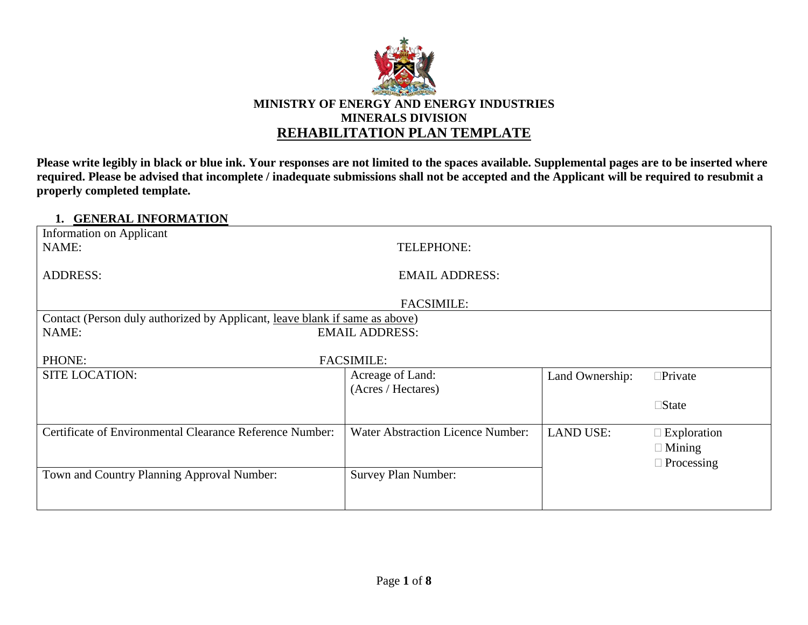

**Please write legibly in black or blue ink. Your responses are not limited to the spaces available. Supplemental pages are to be inserted where required. Please be advised that incomplete / inadequate submissions shall not be accepted and the Applicant will be required to resubmit a properly completed template.**

#### **1. GENERAL INFORMATION**

| Information on Applicant                                                    |                                          |                  |                    |  |
|-----------------------------------------------------------------------------|------------------------------------------|------------------|--------------------|--|
| NAME:                                                                       | TELEPHONE:                               |                  |                    |  |
|                                                                             |                                          |                  |                    |  |
| <b>ADDRESS:</b>                                                             | <b>EMAIL ADDRESS:</b>                    |                  |                    |  |
|                                                                             | <b>FACSIMILE:</b>                        |                  |                    |  |
| Contact (Person duly authorized by Applicant, leave blank if same as above) |                                          |                  |                    |  |
| NAME:                                                                       | <b>EMAIL ADDRESS:</b>                    |                  |                    |  |
|                                                                             |                                          |                  |                    |  |
| PHONE:                                                                      | <b>FACSIMILE:</b>                        |                  |                    |  |
| <b>SITE LOCATION:</b>                                                       | Acreage of Land:                         | Land Ownership:  | $\square$ Private  |  |
|                                                                             | (Acres / Hectares)                       |                  |                    |  |
|                                                                             |                                          |                  | $\square$ State    |  |
|                                                                             |                                          |                  |                    |  |
| Certificate of Environmental Clearance Reference Number:                    | <b>Water Abstraction Licence Number:</b> | <b>LAND USE:</b> | $\Box$ Exploration |  |
|                                                                             |                                          |                  | $\Box$ Mining      |  |
|                                                                             |                                          |                  | $\Box$ Processing  |  |
| Town and Country Planning Approval Number:                                  | Survey Plan Number:                      |                  |                    |  |
|                                                                             |                                          |                  |                    |  |
|                                                                             |                                          |                  |                    |  |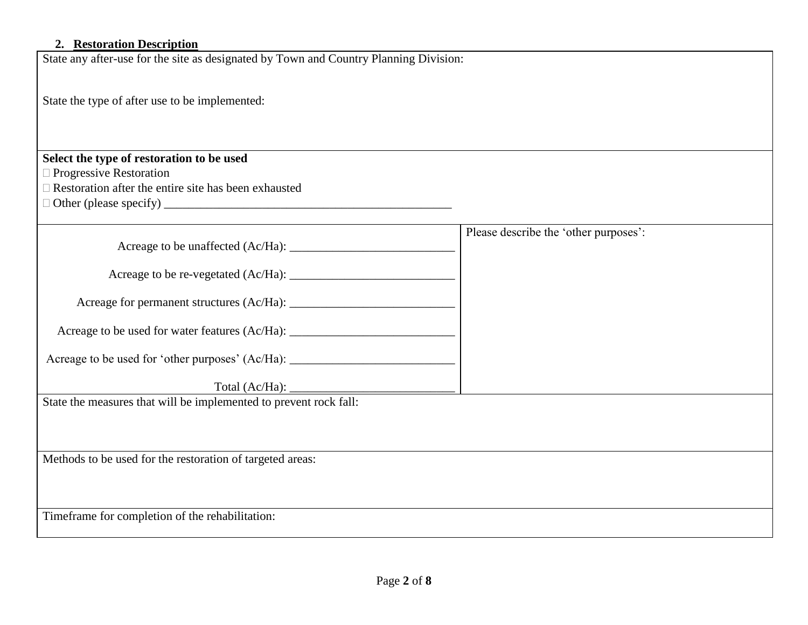#### **2. Restoration Description**

State any after-use for the site as designated by Town and Country Planning Division:

State the type of after use to be implemented:

# **Select the type of restoration to be used**

 $\Box$  Progressive Restoration

 $\Box$  Restoration after the entire site has been exhausted

Other (please specify) \_\_\_\_\_\_\_\_\_\_\_\_\_\_\_\_\_\_\_\_\_\_\_\_\_\_\_\_\_\_\_\_\_\_\_\_\_\_\_\_\_\_\_\_\_\_\_

Acreage to be unaffected (Ac/Ha): \_\_\_\_\_\_\_\_\_\_\_\_\_\_\_\_\_\_\_\_\_\_\_\_\_\_\_

Acreage to be re-vegetated (Ac/Ha): \_\_\_\_\_\_\_\_\_\_\_\_\_\_\_\_\_\_\_\_\_\_\_\_\_\_\_

|  | Acreage for permanent structures (Ac/Ha): |  |  |
|--|-------------------------------------------|--|--|
|--|-------------------------------------------|--|--|

| Acreage to be used for water features (Ac/Ha): |  |
|------------------------------------------------|--|
|------------------------------------------------|--|

Acreage to be used for 'other purposes' (Ac/Ha): \_\_\_\_\_\_\_\_\_\_\_\_\_\_\_\_\_\_\_\_\_\_\_\_\_\_\_\_\_\_\_\_

Total (Ac/Ha): \_\_\_\_\_\_\_\_\_\_\_\_\_\_\_\_\_\_\_\_\_\_\_\_\_\_\_

State the measures that will be implemented to prevent rock fall:

Methods to be used for the restoration of targeted areas:

Timeframe for completion of the rehabilitation:

Please describe the 'other purposes':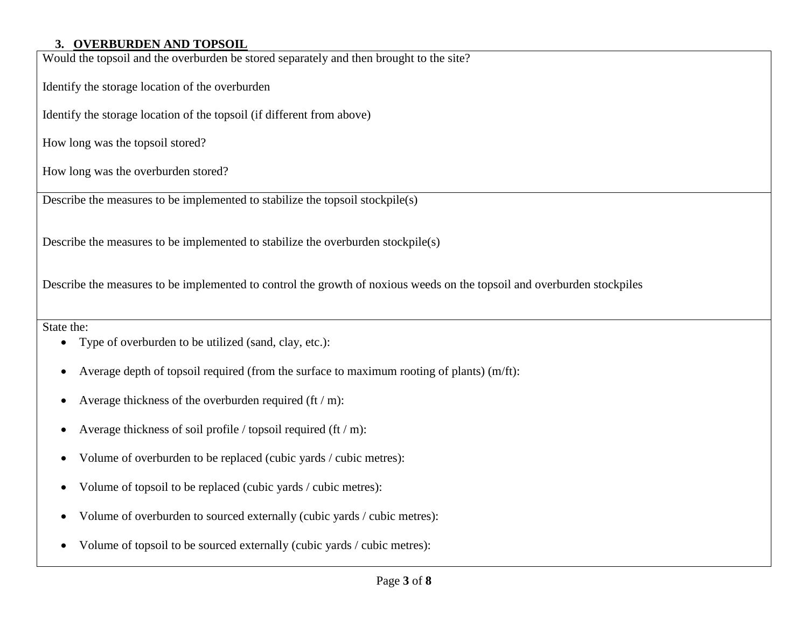## **3. OVERBURDEN AND TOPSOIL**

Would the topsoil and the overburden be stored separately and then brought to the site?

Identify the storage location of the overburden

Identify the storage location of the topsoil (if different from above)

How long was the topsoil stored?

How long was the overburden stored?

Describe the measures to be implemented to stabilize the topsoil stockpile(s)

Describe the measures to be implemented to stabilize the overburden stockpile(s)

Describe the measures to be implemented to control the growth of noxious weeds on the topsoil and overburden stockpiles

State the:

- Type of overburden to be utilized (sand, clay, etc.):
- Average depth of topsoil required (from the surface to maximum rooting of plants) (m/ft):
- Average thickness of the overburden required  $(\text{ft}/\text{m})$ :
- Average thickness of soil profile / topsoil required (ft / m):
- Volume of overburden to be replaced (cubic yards / cubic metres):
- Volume of topsoil to be replaced (cubic yards / cubic metres):
- Volume of overburden to sourced externally (cubic yards / cubic metres):
- Volume of topsoil to be sourced externally (cubic yards / cubic metres):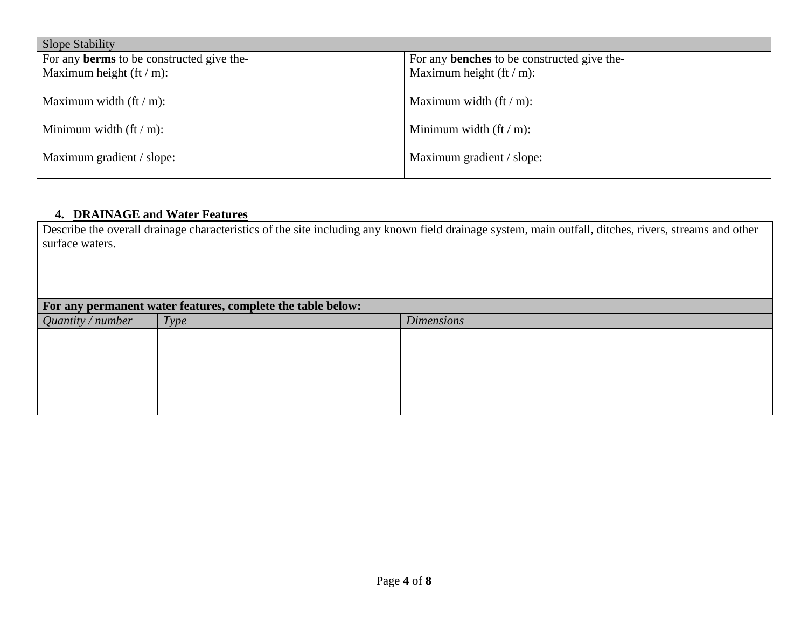| <b>Slope Stability</b>                           |                                                    |  |  |
|--------------------------------------------------|----------------------------------------------------|--|--|
| For any <b>berms</b> to be constructed give the- | For any <b>benches</b> to be constructed give the- |  |  |
| Maximum height $({\rm ft}/m)$ :                  | Maximum height $({\rm ft}/m)$ :                    |  |  |
| Maximum width $({\rm ft}/m)$ :                   | Maximum width $({\rm ft}/m)$ :                     |  |  |
| Minimum width $({\rm ft}/m)$ :                   | Minimum width $({\rm ft}/m)$ :                     |  |  |
| Maximum gradient / slope:                        | Maximum gradient / slope:                          |  |  |

### **4. DRAINAGE and Water Features**

Describe the overall drainage characteristics of the site including any known field drainage system, main outfall, ditches, rivers, streams and other surface waters.

| For any permanent water features, complete the table below: |                   |      |                   |
|-------------------------------------------------------------|-------------------|------|-------------------|
|                                                             | Quantity / number | Type | <b>Dimensions</b> |
|                                                             |                   |      |                   |
|                                                             |                   |      |                   |
|                                                             |                   |      |                   |
|                                                             |                   |      |                   |
|                                                             |                   |      |                   |
|                                                             |                   |      |                   |
|                                                             |                   |      |                   |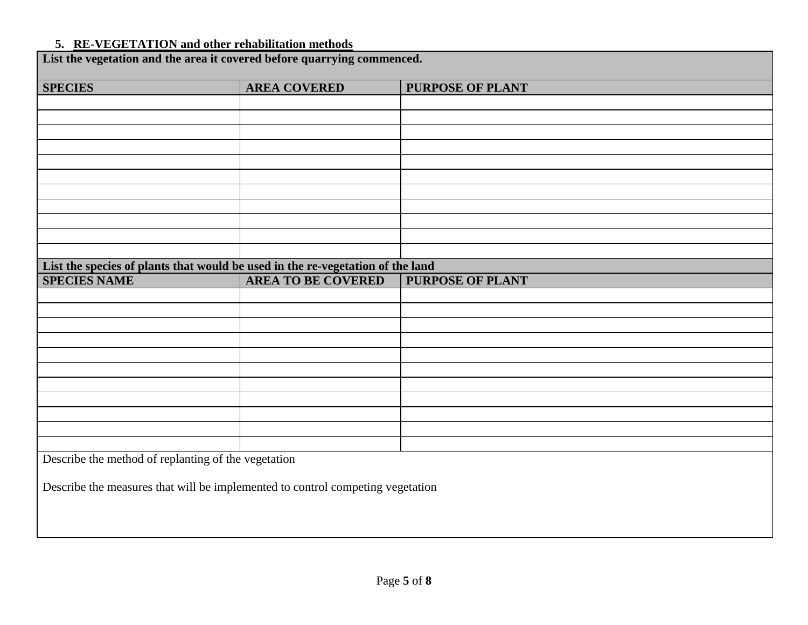## **5. RE-VEGETATION and other rehabilitation methods**

| List the vegetation and the area it covered before quarrying commenced.        |                           |                         |  |  |
|--------------------------------------------------------------------------------|---------------------------|-------------------------|--|--|
| <b>SPECIES</b>                                                                 | <b>AREA COVERED</b>       | <b>PURPOSE OF PLANT</b> |  |  |
|                                                                                |                           |                         |  |  |
|                                                                                |                           |                         |  |  |
|                                                                                |                           |                         |  |  |
|                                                                                |                           |                         |  |  |
|                                                                                |                           |                         |  |  |
|                                                                                |                           |                         |  |  |
|                                                                                |                           |                         |  |  |
|                                                                                |                           |                         |  |  |
|                                                                                |                           |                         |  |  |
|                                                                                |                           |                         |  |  |
| List the species of plants that would be used in the re-vegetation of the land |                           |                         |  |  |
| <b>SPECIES NAME</b>                                                            | <b>AREA TO BE COVERED</b> | PURPOSE OF PLANT        |  |  |
|                                                                                |                           |                         |  |  |
|                                                                                |                           |                         |  |  |
|                                                                                |                           |                         |  |  |
|                                                                                |                           |                         |  |  |
|                                                                                |                           |                         |  |  |
|                                                                                |                           |                         |  |  |
|                                                                                |                           |                         |  |  |
|                                                                                |                           |                         |  |  |
|                                                                                |                           |                         |  |  |
|                                                                                |                           |                         |  |  |
| Describe the method of replanting of the vegetation                            |                           |                         |  |  |
|                                                                                |                           |                         |  |  |
| Describe the measures that will be implemented to control competing vegetation |                           |                         |  |  |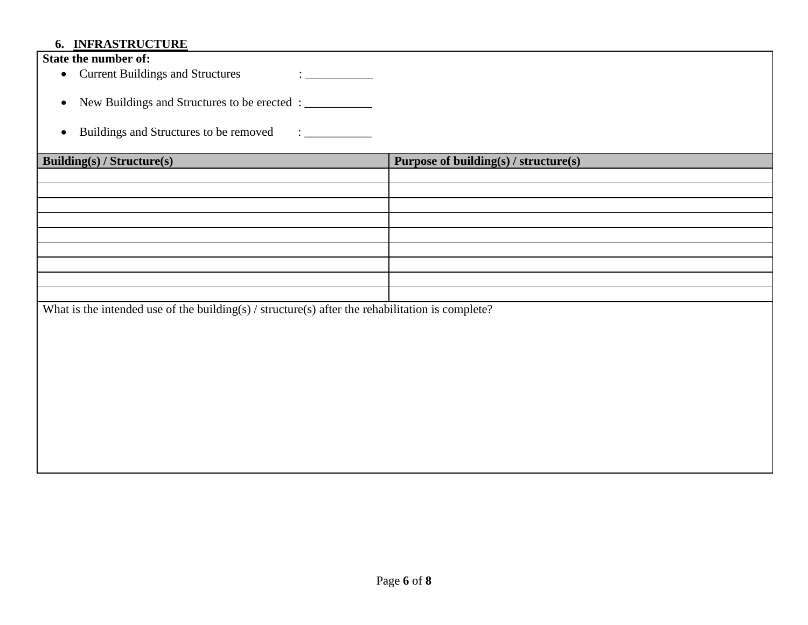# **6. INFRASTRUCTURE**

| $\frac{1}{2}$                                                                                                          |                                       |  |  |  |
|------------------------------------------------------------------------------------------------------------------------|---------------------------------------|--|--|--|
| State the number of:                                                                                                   |                                       |  |  |  |
| <b>Current Buildings and Structures</b><br>$\bullet$                                                                   |                                       |  |  |  |
|                                                                                                                        |                                       |  |  |  |
| New Buildings and Structures to be erected : __________<br>$\bullet$                                                   |                                       |  |  |  |
|                                                                                                                        |                                       |  |  |  |
| Buildings and Structures to be removed<br>$\mathbf{1}$ and $\mathbf{1}$ and $\mathbf{1}$ and $\mathbf{1}$<br>$\bullet$ |                                       |  |  |  |
|                                                                                                                        |                                       |  |  |  |
| <b>Building(s) / Structure(s)</b>                                                                                      | Purpose of building(s) / structure(s) |  |  |  |
|                                                                                                                        |                                       |  |  |  |
|                                                                                                                        |                                       |  |  |  |
|                                                                                                                        |                                       |  |  |  |
|                                                                                                                        |                                       |  |  |  |
|                                                                                                                        |                                       |  |  |  |
|                                                                                                                        |                                       |  |  |  |
|                                                                                                                        |                                       |  |  |  |
|                                                                                                                        |                                       |  |  |  |
|                                                                                                                        |                                       |  |  |  |
| What is the intended use of the building(s) / structure(s) after the rehabilitation is complete?                       |                                       |  |  |  |
|                                                                                                                        |                                       |  |  |  |
|                                                                                                                        |                                       |  |  |  |
|                                                                                                                        |                                       |  |  |  |
|                                                                                                                        |                                       |  |  |  |
|                                                                                                                        |                                       |  |  |  |
|                                                                                                                        |                                       |  |  |  |
|                                                                                                                        |                                       |  |  |  |
|                                                                                                                        |                                       |  |  |  |
|                                                                                                                        |                                       |  |  |  |
|                                                                                                                        |                                       |  |  |  |
|                                                                                                                        |                                       |  |  |  |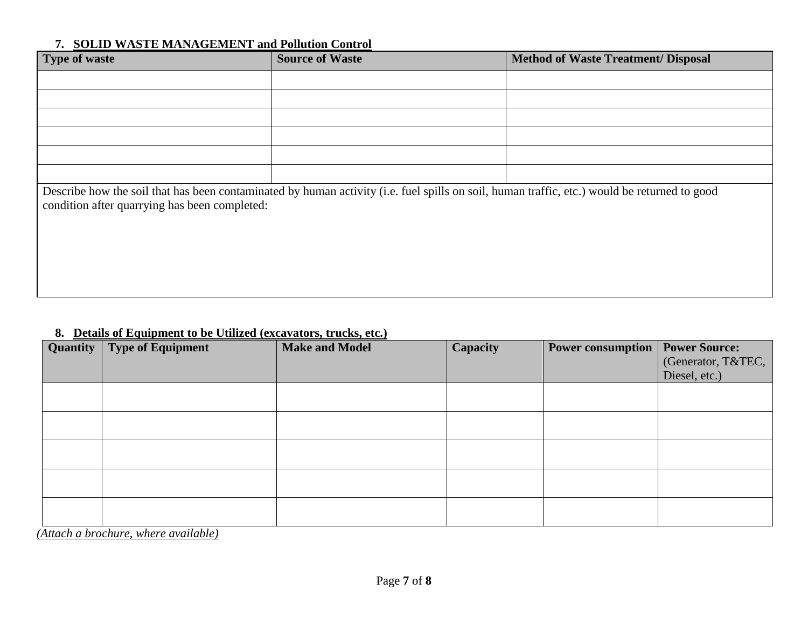## **7. SOLID WASTE MANAGEMENT and Pollution Control**

| Type of waste                                                                                                                                                                                 | <b>Source of Waste</b> | <b>Method of Waste Treatment/ Disposal</b> |  |  |  |
|-----------------------------------------------------------------------------------------------------------------------------------------------------------------------------------------------|------------------------|--------------------------------------------|--|--|--|
|                                                                                                                                                                                               |                        |                                            |  |  |  |
|                                                                                                                                                                                               |                        |                                            |  |  |  |
|                                                                                                                                                                                               |                        |                                            |  |  |  |
|                                                                                                                                                                                               |                        |                                            |  |  |  |
|                                                                                                                                                                                               |                        |                                            |  |  |  |
|                                                                                                                                                                                               |                        |                                            |  |  |  |
| Describe how the soil that has been contaminated by human activity (i.e. fuel spills on soil, human traffic, etc.) would be returned to good<br>condition after quarrying has been completed: |                        |                                            |  |  |  |
|                                                                                                                                                                                               |                        |                                            |  |  |  |
|                                                                                                                                                                                               |                        |                                            |  |  |  |
|                                                                                                                                                                                               |                        |                                            |  |  |  |
|                                                                                                                                                                                               |                        |                                            |  |  |  |

# **8. Details of Equipment to be Utilized (excavators, trucks, etc.)**

| Quantity | Type of Equipment | <b>Make and Model</b> | Capacity | <b>Power consumption</b> | <b>Power Source:</b><br>(Generator, T&TEC,<br>Diesel, etc.) |
|----------|-------------------|-----------------------|----------|--------------------------|-------------------------------------------------------------|
|          |                   |                       |          |                          |                                                             |
|          |                   |                       |          |                          |                                                             |
|          |                   |                       |          |                          |                                                             |
|          |                   |                       |          |                          |                                                             |
|          |                   |                       |          |                          |                                                             |

*(Attach a brochure, where available)*